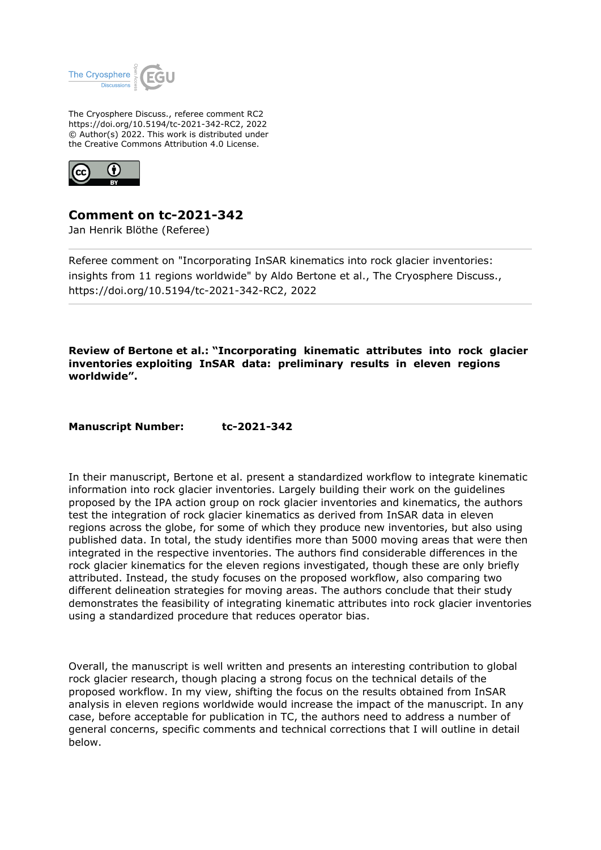

The Cryosphere Discuss., referee comment RC2 https://doi.org/10.5194/tc-2021-342-RC2, 2022 © Author(s) 2022. This work is distributed under the Creative Commons Attribution 4.0 License.



**Comment on tc-2021-342**

Jan Henrik Blöthe (Referee)

Referee comment on "Incorporating InSAR kinematics into rock glacier inventories: insights from 11 regions worldwide" by Aldo Bertone et al., The Cryosphere Discuss., https://doi.org/10.5194/tc-2021-342-RC2, 2022

**Review of Bertone et al.: "Incorporating kinematic attributes into rock glacier inventories exploiting InSAR data: preliminary results in eleven regions worldwide".**

Manuscript Number: tc-2021-342

In their manuscript, Bertone et al. present a standardized workflow to integrate kinematic information into rock glacier inventories. Largely building their work on the guidelines proposed by the IPA action group on rock glacier inventories and kinematics, the authors test the integration of rock glacier kinematics as derived from InSAR data in eleven regions across the globe, for some of which they produce new inventories, but also using published data. In total, the study identifies more than 5000 moving areas that were then integrated in the respective inventories. The authors find considerable differences in the rock glacier kinematics for the eleven regions investigated, though these are only briefly attributed. Instead, the study focuses on the proposed workflow, also comparing two different delineation strategies for moving areas. The authors conclude that their study demonstrates the feasibility of integrating kinematic attributes into rock glacier inventories using a standardized procedure that reduces operator bias.

Overall, the manuscript is well written and presents an interesting contribution to global rock glacier research, though placing a strong focus on the technical details of the proposed workflow. In my view, shifting the focus on the results obtained from InSAR analysis in eleven regions worldwide would increase the impact of the manuscript. In any case, before acceptable for publication in TC, the authors need to address a number of general concerns, specific comments and technical corrections that I will outline in detail below.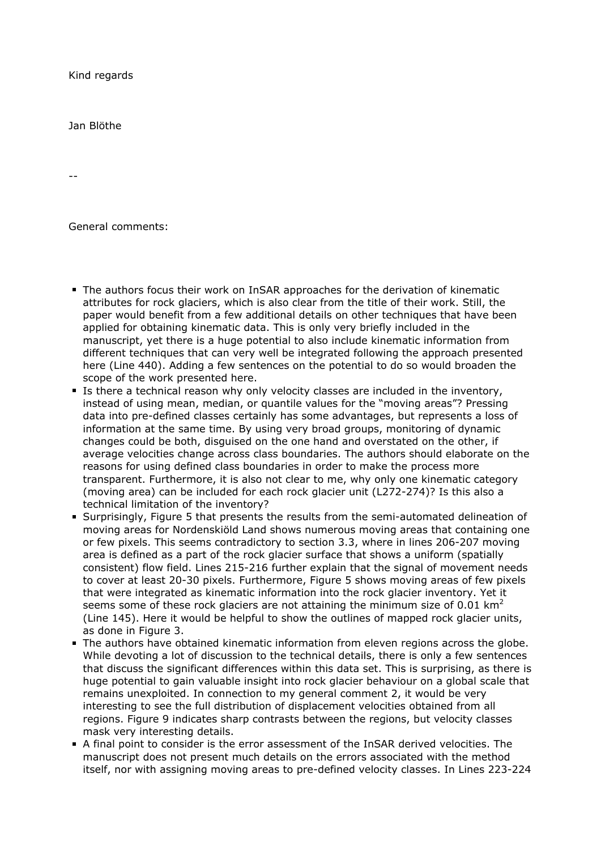Kind regards

Jan Blöthe

--

General comments:

- The authors focus their work on InSAR approaches for the derivation of kinematic attributes for rock glaciers, which is also clear from the title of their work. Still, the paper would benefit from a few additional details on other techniques that have been applied for obtaining kinematic data. This is only very briefly included in the manuscript, yet there is a huge potential to also include kinematic information from different techniques that can very well be integrated following the approach presented here (Line 440). Adding a few sentences on the potential to do so would broaden the scope of the work presented here.
- Is there a technical reason why only velocity classes are included in the inventory, instead of using mean, median, or quantile values for the "moving areas"? Pressing data into pre-defined classes certainly has some advantages, but represents a loss of information at the same time. By using very broad groups, monitoring of dynamic changes could be both, disguised on the one hand and overstated on the other, if average velocities change across class boundaries. The authors should elaborate on the reasons for using defined class boundaries in order to make the process more transparent. Furthermore, it is also not clear to me, why only one kinematic category (moving area) can be included for each rock glacier unit (L272-274)? Is this also a technical limitation of the inventory?
- Surprisingly, Figure 5 that presents the results from the semi-automated delineation of moving areas for Nordenskiöld Land shows numerous moving areas that containing one or few pixels. This seems contradictory to section 3.3, where in lines 206-207 moving area is defined as a part of the rock glacier surface that shows a uniform (spatially consistent) flow field. Lines 215-216 further explain that the signal of movement needs to cover at least 20-30 pixels. Furthermore, Figure 5 shows moving areas of few pixels that were integrated as kinematic information into the rock glacier inventory. Yet it seems some of these rock glaciers are not attaining the minimum size of 0.01 km<sup>2</sup> (Line 145). Here it would be helpful to show the outlines of mapped rock glacier units, as done in Figure 3.
- The authors have obtained kinematic information from eleven regions across the globe. While devoting a lot of discussion to the technical details, there is only a few sentences that discuss the significant differences within this data set. This is surprising, as there is huge potential to gain valuable insight into rock glacier behaviour on a global scale that remains unexploited. In connection to my general comment 2, it would be very interesting to see the full distribution of displacement velocities obtained from all regions. Figure 9 indicates sharp contrasts between the regions, but velocity classes mask very interesting details.
- A final point to consider is the error assessment of the InSAR derived velocities. The manuscript does not present much details on the errors associated with the method itself, nor with assigning moving areas to pre-defined velocity classes. In Lines 223-224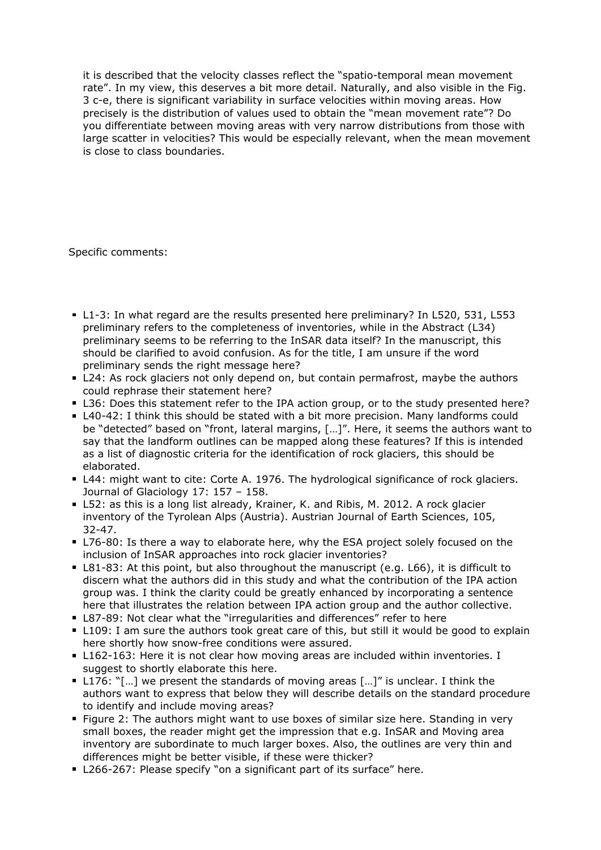it is described that the velocity classes reflect the "spatio-temporal mean movement rate". In my view, this deserves a bit more detail. Naturally, and also visible in the Fig. 3 c-e, there is significant variability in surface velocities within moving areas. How precisely is the distribution of values used to obtain the "mean movement rate"? Do you differentiate between moving areas with very narrow distributions from those with large scatter in velocities? This would be especially relevant, when the mean movement is close to class boundaries.

Specific comments:

- L1-3: In what regard are the results presented here preliminary? In L520, 531, L553 preliminary refers to the completeness of inventories, while in the Abstract (L34) preliminary seems to be referring to the InSAR data itself? In the manuscript, this should be clarified to avoid confusion. As for the title, I am unsure if the word preliminary sends the right message here?
- L24: As rock glaciers not only depend on, but contain permafrost, maybe the authors could rephrase their statement here?
- L36: Does this statement refer to the IPA action group, or to the study presented here?
- L40-42: I think this should be stated with a bit more precision. Many landforms could be "detected" based on "front, lateral margins, […]". Here, it seems the authors want to say that the landform outlines can be mapped along these features? If this is intended as a list of diagnostic criteria for the identification of rock glaciers, this should be elaborated.
- L44: might want to cite: Corte A. 1976. The hydrological significance of rock glaciers. Journal of Glaciology 17: 157 – 158.
- L52: as this is a long list already, Krainer, K. and Ribis, M. 2012. A rock glacier inventory of the Tyrolean Alps (Austria). Austrian Journal of Earth Sciences, 105, 32-47.
- L76-80: Is there a way to elaborate here, why the ESA project solely focused on the inclusion of InSAR approaches into rock glacier inventories?
- L81-83: At this point, but also throughout the manuscript (e.g. L66), it is difficult to discern what the authors did in this study and what the contribution of the IPA action group was. I think the clarity could be greatly enhanced by incorporating a sentence here that illustrates the relation between IPA action group and the author collective.
- L87-89: Not clear what the "irregularities and differences" refer to here
- L109: I am sure the authors took great care of this, but still it would be good to explain here shortly how snow-free conditions were assured.
- L162-163: Here it is not clear how moving areas are included within inventories. I suggest to shortly elaborate this here.
- L176: "[…] we present the standards of moving areas […]" is unclear. I think the authors want to express that below they will describe details on the standard procedure to identify and include moving areas?
- Figure 2: The authors might want to use boxes of similar size here. Standing in very small boxes, the reader might get the impression that e.g. InSAR and Moving area inventory are subordinate to much larger boxes. Also, the outlines are very thin and differences might be better visible, if these were thicker?
- **L266-267: Please specify "on a significant part of its surface" here.**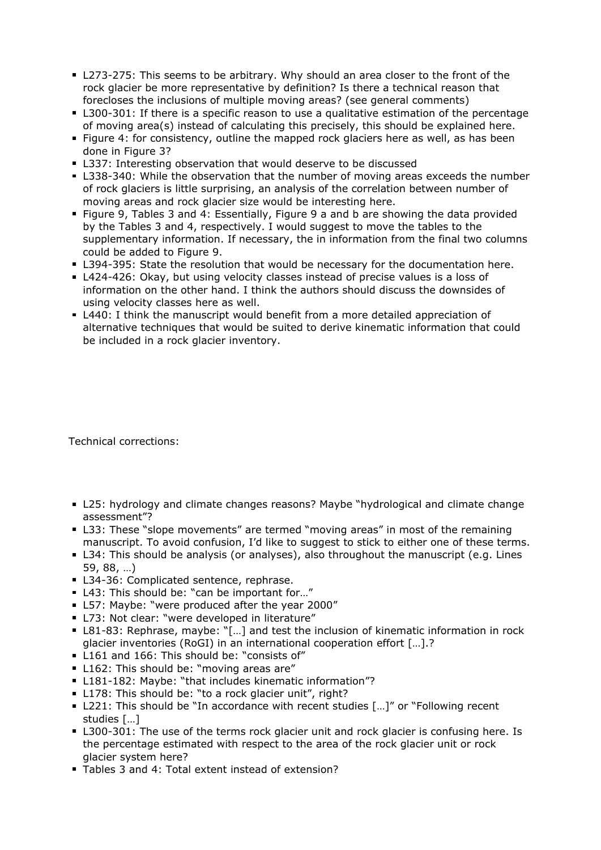- L273-275: This seems to be arbitrary. Why should an area closer to the front of the rock glacier be more representative by definition? Is there a technical reason that forecloses the inclusions of multiple moving areas? (see general comments)
- **L300-301: If there is a specific reason to use a qualitative estimation of the percentage** of moving area(s) instead of calculating this precisely, this should be explained here.
- Figure 4: for consistency, outline the mapped rock glaciers here as well, as has been done in Figure 3?
- **L337: Interesting observation that would deserve to be discussed**
- L338-340: While the observation that the number of moving areas exceeds the number of rock glaciers is little surprising, an analysis of the correlation between number of moving areas and rock glacier size would be interesting here.
- Figure 9, Tables 3 and 4: Essentially, Figure 9 a and b are showing the data provided by the Tables 3 and 4, respectively. I would suggest to move the tables to the supplementary information. If necessary, the in information from the final two columns could be added to Figure 9.
- **L394-395: State the resolution that would be necessary for the documentation here.**
- L424-426: Okay, but using velocity classes instead of precise values is a loss of information on the other hand. I think the authors should discuss the downsides of using velocity classes here as well.
- L440: I think the manuscript would benefit from a more detailed appreciation of alternative techniques that would be suited to derive kinematic information that could be included in a rock glacier inventory.

Technical corrections:

- L25: hydrology and climate changes reasons? Maybe "hydrological and climate change assessment"?
- L33: These "slope movements" are termed "moving areas" in most of the remaining manuscript. To avoid confusion, I'd like to suggest to stick to either one of these terms.
- L34: This should be analysis (or analyses), also throughout the manuscript (e.g. Lines 59, 88, …)
- L34-36: Complicated sentence, rephrase.
- L43: This should be: "can be important for..."
- **L57: Maybe: "were produced after the year 2000"**
- L73: Not clear: "were developed in literature"
- L81-83: Rephrase, maybe: "[...] and test the inclusion of kinematic information in rock glacier inventories (RoGI) in an international cooperation effort […].?
- L161 and 166: This should be: "consists of"
- L162: This should be: "moving areas are"
- L181-182: Maybe: "that includes kinematic information"?
- L178: This should be: "to a rock glacier unit", right?
- L221: This should be "In accordance with recent studies [...]" or "Following recent studies […]
- L300-301: The use of the terms rock glacier unit and rock glacier is confusing here. Is the percentage estimated with respect to the area of the rock glacier unit or rock glacier system here?
- Tables 3 and 4: Total extent instead of extension?